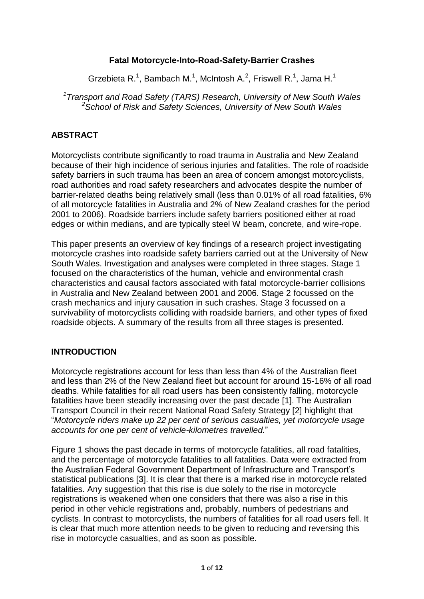## **Fatal Motorcycle-Into-Road-Safety-Barrier Crashes**

Grzebieta R.<sup>1</sup>, Bambach M.<sup>1</sup>, McIntosh A.<sup>2</sup>, Friswell R.<sup>1</sup>, Jama H.<sup>1</sup>

*1 Transport and Road Safety (TARS) Research, University of New South Wales <sup>2</sup>School of Risk and Safety Sciences, University of New South Wales*

## **ABSTRACT**

Motorcyclists contribute significantly to road trauma in Australia and New Zealand because of their high incidence of serious injuries and fatalities. The role of roadside safety barriers in such trauma has been an area of concern amongst motorcyclists, road authorities and road safety researchers and advocates despite the number of barrier-related deaths being relatively small (less than 0.01% of all road fatalities, 6% of all motorcycle fatalities in Australia and 2% of New Zealand crashes for the period 2001 to 2006). Roadside barriers include safety barriers positioned either at road edges or within medians, and are typically steel W beam, concrete, and wire-rope.

This paper presents an overview of key findings of a research project investigating motorcycle crashes into roadside safety barriers carried out at the University of New South Wales. Investigation and analyses were completed in three stages. Stage 1 focused on the characteristics of the human, vehicle and environmental crash characteristics and causal factors associated with fatal motorcycle-barrier collisions in Australia and New Zealand between 2001 and 2006. Stage 2 focussed on the crash mechanics and injury causation in such crashes. Stage 3 focussed on a survivability of motorcyclists colliding with roadside barriers, and other types of fixed roadside objects. A summary of the results from all three stages is presented.

### **INTRODUCTION**

Motorcycle registrations account for less than less than 4% of the Australian fleet and less than 2% of the New Zealand fleet but account for around 15-16% of all road deaths. While fatalities for all road users has been consistently falling, motorcycle fatalities have been steadily increasing over the past decade [1]. The Australian Transport Council in their recent National Road Safety Strategy [2] highlight that "*Motorcycle riders make up 22 per cent of serious casualties, yet motorcycle usage accounts for one per cent of vehicle-kilometres travelled.*"

Figure 1 shows the past decade in terms of motorcycle fatalities, all road fatalities, and the percentage of motorcycle fatalities to all fatalities. Data were extracted from the Australian Federal Government Department of Infrastructure and Transport"s statistical publications [3]. It is clear that there is a marked rise in motorcycle related fatalities. Any suggestion that this rise is due solely to the rise in motorcycle registrations is weakened when one considers that there was also a rise in this period in other vehicle registrations and, probably, numbers of pedestrians and cyclists. In contrast to motorcyclists, the numbers of fatalities for all road users fell. It is clear that much more attention needs to be given to reducing and reversing this rise in motorcycle casualties, and as soon as possible.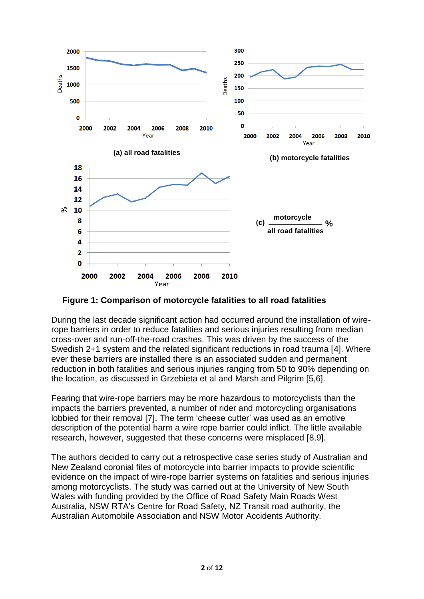

**Figure 1: Comparison of motorcycle fatalities to all road fatalities**

During the last decade significant action had occurred around the installation of wirerope barriers in order to reduce fatalities and serious injuries resulting from median cross-over and run-off-the-road crashes. This was driven by the success of the Swedish 2+1 system and the related significant reductions in road trauma [4]. Where ever these barriers are installed there is an associated sudden and permanent reduction in both fatalities and serious injuries ranging from 50 to 90% depending on the location, as discussed in Grzebieta et al and Marsh and Pilgrim [5,6].

<span id="page-1-0"></span>Fearing that wire-rope barriers may be more hazardous to motorcyclists than the impacts the barriers prevented, a number of rider and motorcycling organisations lobbied for their removal [7]. The term "cheese cutter" was used as an emotive description of the potential harm a wire rope barrier could inflict. The little available research, however, suggested that these concerns were misplaced [8,9].

The authors decided to carry out a retrospective case series study of Australian and New Zealand coronial files of motorcycle into barrier impacts to provide scientific evidence on the impact of wire-rope barrier systems on fatalities and serious injuries among motorcyclists. The study was carried out at the University of New South Wales with funding provided by the Office of Road Safety Main Roads West Australia, NSW RTA"s Centre for Road Safety, NZ Transit road authority, the Australian Automobile Association and NSW Motor Accidents Authority.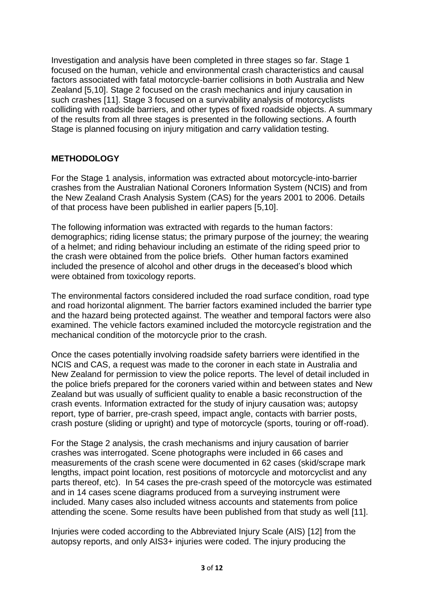<span id="page-2-1"></span><span id="page-2-0"></span>Investigation and analysis have been completed in three stages so far. Stage 1 focused on the human, vehicle and environmental crash characteristics and causal factors associated with fatal motorcycle-barrier collisions in both Australia and New Zealand [\[5,](#page-1-0)10]. Stage 2 focused on the crash mechanics and injury causation in such crashes [11]. Stage 3 focused on a survivability analysis of motorcyclists colliding with roadside barriers, and other types of fixed roadside objects. A summary of the results from all three stages is presented in the following sections. A fourth Stage is planned focusing on injury mitigation and carry validation testing.

### **METHODOLOGY**

For the Stage 1 analysis, information was extracted about motorcycle-into-barrier crashes from the Australian National Coroners Information System (NCIS) and from the New Zealand Crash Analysis System (CAS) for the years 2001 to 2006. Details of that process have been published in earlier papers [\[5,](#page-1-0)[10\]](#page-2-0).

The following information was extracted with regards to the human factors: demographics; riding license status; the primary purpose of the journey; the wearing of a helmet; and riding behaviour including an estimate of the riding speed prior to the crash were obtained from the police briefs. Other human factors examined included the presence of alcohol and other drugs in the deceased"s blood which were obtained from toxicology reports.

The environmental factors considered included the road surface condition, road type and road horizontal alignment. The barrier factors examined included the barrier type and the hazard being protected against. The weather and temporal factors were also examined. The vehicle factors examined included the motorcycle registration and the mechanical condition of the motorcycle prior to the crash.

Once the cases potentially involving roadside safety barriers were identified in the NCIS and CAS, a request was made to the coroner in each state in Australia and New Zealand for permission to view the police reports. The level of detail included in the police briefs prepared for the coroners varied within and between states and New Zealand but was usually of sufficient quality to enable a basic reconstruction of the crash events. Information extracted for the study of injury causation was; autopsy report, type of barrier, pre-crash speed, impact angle, contacts with barrier posts, crash posture (sliding or upright) and type of motorcycle (sports, touring or off-road).

For the Stage 2 analysis, the crash mechanisms and injury causation of barrier crashes was interrogated. Scene photographs were included in 66 cases and measurements of the crash scene were documented in 62 cases (skid/scrape mark lengths, impact point location, rest positions of motorcycle and motorcyclist and any parts thereof, etc). In 54 cases the pre-crash speed of the motorcycle was estimated and in 14 cases scene diagrams produced from a surveying instrument were included. Many cases also included witness accounts and statements from police attending the scene. Some results have been published from that study as well [\[11\]](#page-2-1).

Injuries were coded according to the Abbreviated Injury Scale (AIS) [12] from the autopsy reports, and only AIS3+ injuries were coded. The injury producing the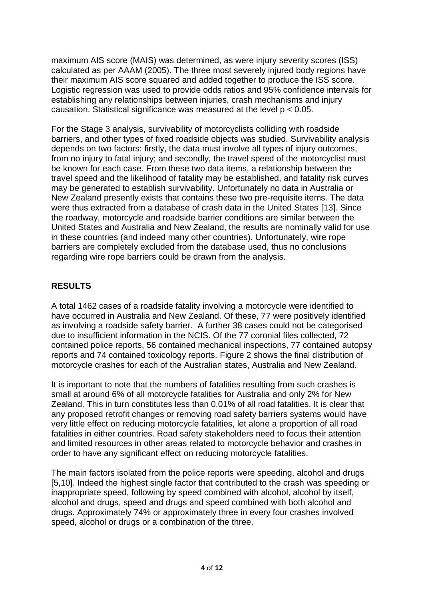maximum AIS score (MAIS) was determined, as were injury severity scores (ISS) calculated as per AAAM (2005). The three most severely injured body regions have their maximum AIS score squared and added together to produce the ISS score. Logistic regression was used to provide odds ratios and 95% confidence intervals for establishing any relationships between injuries, crash mechanisms and injury causation. Statistical significance was measured at the level p < 0.05.

For the Stage 3 analysis, survivability of motorcyclists colliding with roadside barriers, and other types of fixed roadside objects was studied. Survivability analysis depends on two factors: firstly, the data must involve all types of injury outcomes, from no injury to fatal injury; and secondly, the travel speed of the motorcyclist must be known for each case. From these two data items, a relationship between the travel speed and the likelihood of fatality may be established, and fatality risk curves may be generated to establish survivability. Unfortunately no data in Australia or New Zealand presently exists that contains these two pre-requisite items. The data were thus extracted from a database of crash data in the United States [13]. Since the roadway, motorcycle and roadside barrier conditions are similar between the United States and Australia and New Zealand, the results are nominally valid for use in these countries (and indeed many other countries). Unfortunately, wire rope barriers are completely excluded from the database used, thus no conclusions regarding wire rope barriers could be drawn from the analysis.

# **RESULTS**

A total 1462 cases of a roadside fatality involving a motorcycle were identified to have occurred in Australia and New Zealand. Of these, 77 were positively identified as involving a roadside safety barrier. A further 38 cases could not be categorised due to insufficient information in the NCIS. Of the 77 coronial files collected, 72 contained police reports, 56 contained mechanical inspections, 77 contained autopsy reports and 74 contained toxicology reports. Figure 2 shows the final distribution of motorcycle crashes for each of the Australian states, Australia and New Zealand.

It is important to note that the numbers of fatalities resulting from such crashes is small at around 6% of all motorcycle fatalities for Australia and only 2% for New Zealand. This in turn constitutes less than 0.01% of all road fatalities. It is clear that any proposed retrofit changes or removing road safety barriers systems would have very little effect on reducing motorcycle fatalities, let alone a proportion of all road fatalities in either countries. Road safety stakeholders need to focus their attention and limited resources in other areas related to motorcycle behavior and crashes in order to have any significant effect on reducing motorcycle fatalities.

The main factors isolated from the police reports were speeding, alcohol and drugs [\[5](#page-1-0)[,10\]](#page-2-0). Indeed the highest single factor that contributed to the crash was speeding or inappropriate speed, following by speed combined with alcohol, alcohol by itself, alcohol and drugs, speed and drugs and speed combined with both alcohol and drugs. Approximately 74% or approximately three in every four crashes involved speed, alcohol or drugs or a combination of the three.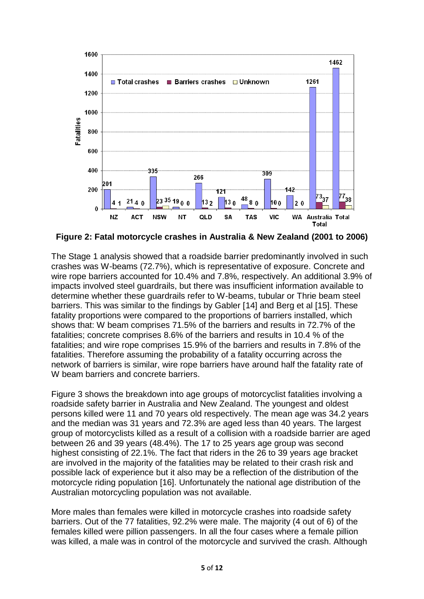

**Figure 2: Fatal motorcycle crashes in Australia & New Zealand (2001 to 2006)**

<span id="page-4-0"></span>The Stage 1 analysis showed that a roadside barrier predominantly involved in such crashes was W-beams (72.7%), which is representative of exposure. Concrete and wire rope barriers accounted for 10.4% and 7.8%, respectively. An additional 3.9% of impacts involved steel guardrails, but there was insufficient information available to determine whether these guardrails refer to W-beams, tubular or Thrie beam steel barriers. This was similar to the findings by Gabler [14] and Berg et al [15]. These fatality proportions were compared to the proportions of barriers installed, which shows that: W beam comprises 71.5% of the barriers and results in 72.7% of the fatalities; concrete comprises 8.6% of the barriers and results in 10.4 % of the fatalities; and wire rope comprises 15.9% of the barriers and results in 7.8% of the fatalities. Therefore assuming the probability of a fatality occurring across the network of barriers is similar, wire rope barriers have around half the fatality rate of W beam barriers and concrete barriers.

Figure 3 shows the breakdown into age groups of motorcyclist fatalities involving a roadside safety barrier in Australia and New Zealand. The youngest and oldest persons killed were 11 and 70 years old respectively. The mean age was 34.2 years and the median was 31 years and 72.3% are aged less than 40 years. The largest group of motorcyclists killed as a result of a collision with a roadside barrier are aged between 26 and 39 years (48.4%). The 17 to 25 years age group was second highest consisting of 22.1%. The fact that riders in the 26 to 39 years age bracket are involved in the majority of the fatalities may be related to their crash risk and possible lack of experience but it also may be a reflection of the distribution of the motorcycle riding population [16]. Unfortunately the national age distribution of the Australian motorcycling population was not available.

More males than females were killed in motorcycle crashes into roadside safety barriers. Out of the 77 fatalities, 92.2% were male. The majority (4 out of 6) of the females killed were pillion passengers. In all the four cases where a female pillion was killed, a male was in control of the motorcycle and survived the crash. Although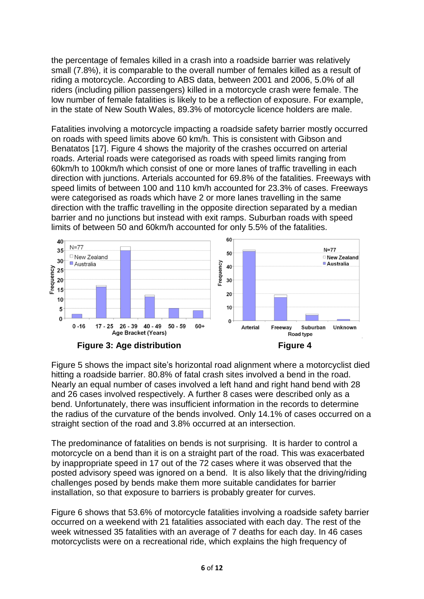the percentage of females killed in a crash into a roadside barrier was relatively small (7.8%), it is comparable to the overall number of females killed as a result of riding a motorcycle. According to ABS data, between 2001 and 2006, 5.0% of all riders (including pillion passengers) killed in a motorcycle crash were female. The low number of female fatalities is likely to be a reflection of exposure. For example, in the state of New South Wales, 89.3% of motorcycle licence holders are male.

Fatalities involving a motorcycle impacting a roadside safety barrier mostly occurred on roads with speed limits above 60 km/h. This is consistent with Gibson and Benatatos [17]. Figure 4 shows the majority of the crashes occurred on arterial roads. Arterial roads were categorised as roads with speed limits ranging from 60km/h to 100km/h which consist of one or more lanes of traffic travelling in each direction with junctions. Arterials accounted for 69.8% of the fatalities. Freeways with speed limits of between 100 and 110 km/h accounted for 23.3% of cases. Freeways were categorised as roads which have 2 or more lanes travelling in the same direction with the traffic travelling in the opposite direction separated by a median barrier and no junctions but instead with exit ramps. Suburban roads with speed limits of between 50 and 60km/h accounted for only 5.5% of the fatalities.



Figure 5 shows the impact site"s horizontal road alignment where a motorcyclist died hitting a roadside barrier. 80.8% of fatal crash sites involved a bend in the road. Nearly an equal number of cases involved a left hand and right hand bend with 28 and 26 cases involved respectively. A further 8 cases were described only as a bend. Unfortunately, there was insufficient information in the records to determine the radius of the curvature of the bends involved. Only 14.1% of cases occurred on a straight section of the road and 3.8% occurred at an intersection.

The predominance of fatalities on bends is not surprising. It is harder to control a motorcycle on a bend than it is on a straight part of the road. This was exacerbated by inappropriate speed in 17 out of the 72 cases where it was observed that the posted advisory speed was ignored on a bend. It is also likely that the driving/riding challenges posed by bends make them more suitable candidates for barrier installation, so that exposure to barriers is probably greater for curves.

Figure 6 shows that 53.6% of motorcycle fatalities involving a roadside safety barrier occurred on a weekend with 21 fatalities associated with each day. The rest of the week witnessed 35 fatalities with an average of 7 deaths for each day. In 46 cases motorcyclists were on a recreational ride, which explains the high frequency of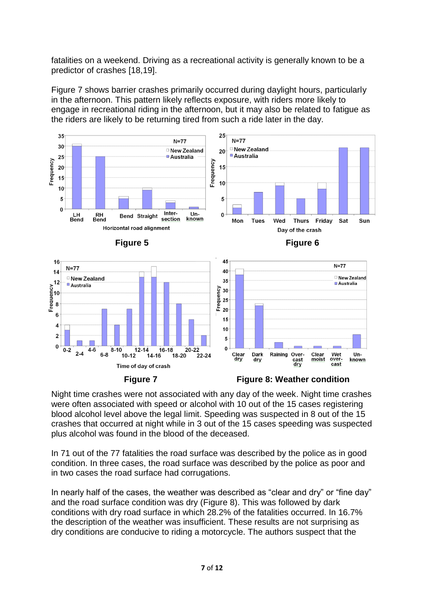fatalities on a weekend. Driving as a recreational activity is generally known to be a predictor of crashes [18,19].

Figure 7 shows barrier crashes primarily occurred during daylight hours, particularly in the afternoon. This pattern likely reflects exposure, with riders more likely to engage in recreational riding in the afternoon, but it may also be related to fatigue as the riders are likely to be returning tired from such a ride later in the day.



Night time crashes were not associated with any day of the week. Night time crashes were often associated with speed or alcohol with 10 out of the 15 cases registering blood alcohol level above the legal limit. Speeding was suspected in 8 out of the 15 crashes that occurred at night while in 3 out of the 15 cases speeding was suspected plus alcohol was found in the blood of the deceased.

In 71 out of the 77 fatalities the road surface was described by the police as in good condition. In three cases, the road surface was described by the police as poor and in two cases the road surface had corrugations.

In nearly half of the cases, the weather was described as "clear and dry" or "fine day" and the road surface condition was dry (Figure 8). This was followed by dark conditions with dry road surface in which 28.2% of the fatalities occurred. In 16.7% the description of the weather was insufficient. These results are not surprising as dry conditions are conducive to riding a motorcycle. The authors suspect that the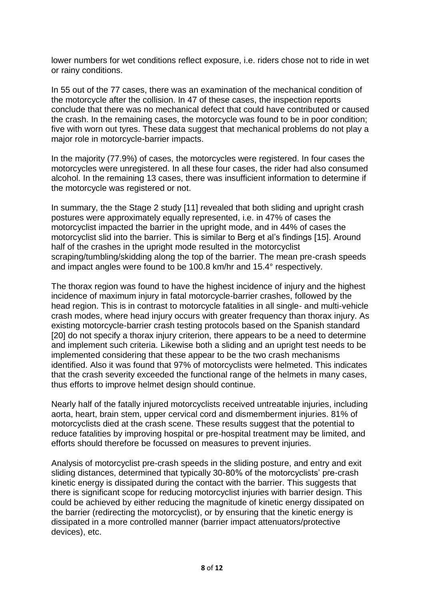lower numbers for wet conditions reflect exposure, i.e. riders chose not to ride in wet or rainy conditions.

In 55 out of the 77 cases, there was an examination of the mechanical condition of the motorcycle after the collision. In 47 of these cases, the inspection reports conclude that there was no mechanical defect that could have contributed or caused the crash. In the remaining cases, the motorcycle was found to be in poor condition; five with worn out tyres. These data suggest that mechanical problems do not play a major role in motorcycle-barrier impacts.

In the majority (77.9%) of cases, the motorcycles were registered. In four cases the motorcycles were unregistered. In all these four cases, the rider had also consumed alcohol. In the remaining 13 cases, there was insufficient information to determine if the motorcycle was registered or not.

In summary, the the Stage 2 study [\[11\]](#page-2-1) revealed that both sliding and upright crash postures were approximately equally represented, i.e. in 47% of cases the motorcyclist impacted the barrier in the upright mode, and in 44% of cases the motorcyclist slid into the barrier. This is similar to Berg et al"s findings [\[15\]](#page-4-0). Around half of the crashes in the upright mode resulted in the motorcyclist scraping/tumbling/skidding along the top of the barrier. The mean pre-crash speeds and impact angles were found to be 100.8 km/hr and 15.4° respectively.

The thorax region was found to have the highest incidence of injury and the highest incidence of maximum injury in fatal motorcycle-barrier crashes, followed by the head region. This is in contrast to motorcycle fatalities in all single- and multi-vehicle crash modes, where head injury occurs with greater frequency than thorax injury. As existing motorcycle-barrier crash testing protocols based on the Spanish standard [20] do not specify a thorax injury criterion, there appears to be a need to determine and implement such criteria. Likewise both a sliding and an upright test needs to be implemented considering that these appear to be the two crash mechanisms identified. Also it was found that 97% of motorcyclists were helmeted. This indicates that the crash severity exceeded the functional range of the helmets in many cases, thus efforts to improve helmet design should continue.

Nearly half of the fatally injured motorcyclists received untreatable injuries, including aorta, heart, brain stem, upper cervical cord and dismemberment injuries. 81% of motorcyclists died at the crash scene. These results suggest that the potential to reduce fatalities by improving hospital or pre-hospital treatment may be limited, and efforts should therefore be focussed on measures to prevent injuries.

Analysis of motorcyclist pre-crash speeds in the sliding posture, and entry and exit sliding distances, determined that typically 30-80% of the motorcyclists' pre-crash kinetic energy is dissipated during the contact with the barrier. This suggests that there is significant scope for reducing motorcyclist injuries with barrier design. This could be achieved by either reducing the magnitude of kinetic energy dissipated on the barrier (redirecting the motorcyclist), or by ensuring that the kinetic energy is dissipated in a more controlled manner (barrier impact attenuators/protective devices), etc.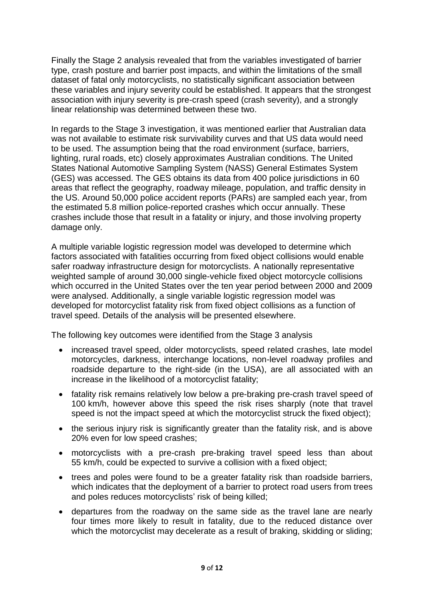Finally the Stage 2 analysis revealed that from the variables investigated of barrier type, crash posture and barrier post impacts, and within the limitations of the small dataset of fatal only motorcyclists, no statistically significant association between these variables and injury severity could be established. It appears that the strongest association with injury severity is pre-crash speed (crash severity), and a strongly linear relationship was determined between these two.

In regards to the Stage 3 investigation, it was mentioned earlier that Australian data was not available to estimate risk survivability curves and that US data would need to be used. The assumption being that the road environment (surface, barriers, lighting, rural roads, etc) closely approximates Australian conditions. The United States National Automotive Sampling System (NASS) General Estimates System (GES) was accessed. The GES obtains its data from 400 police jurisdictions in 60 areas that reflect the geography, roadway mileage, population, and traffic density in the US. Around 50,000 police accident reports (PARs) are sampled each year, from the estimated 5.8 million police-reported crashes which occur annually. These crashes include those that result in a fatality or injury, and those involving property damage only.

A multiple variable logistic regression model was developed to determine which factors associated with fatalities occurring from fixed object collisions would enable safer roadway infrastructure design for motorcyclists. A nationally representative weighted sample of around 30,000 single-vehicle fixed object motorcycle collisions which occurred in the United States over the ten year period between 2000 and 2009 were analysed. Additionally, a single variable logistic regression model was developed for motorcyclist fatality risk from fixed object collisions as a function of travel speed. Details of the analysis will be presented elsewhere.

The following key outcomes were identified from the Stage 3 analysis

- increased travel speed, older motorcyclists, speed related crashes, late model motorcycles, darkness, interchange locations, non-level roadway profiles and roadside departure to the right-side (in the USA), are all associated with an increase in the likelihood of a motorcyclist fatality;
- fatality risk remains relatively low below a pre-braking pre-crash travel speed of 100 km/h, however above this speed the risk rises sharply (note that travel speed is not the impact speed at which the motorcyclist struck the fixed object);
- the serious injury risk is significantly greater than the fatality risk, and is above 20% even for low speed crashes;
- motorcyclists with a pre-crash pre-braking travel speed less than about 55 km/h, could be expected to survive a collision with a fixed object;
- trees and poles were found to be a greater fatality risk than roadside barriers, which indicates that the deployment of a barrier to protect road users from trees and poles reduces motorcyclists' risk of being killed;
- departures from the roadway on the same side as the travel lane are nearly four times more likely to result in fatality, due to the reduced distance over which the motorcyclist may decelerate as a result of braking, skidding or sliding;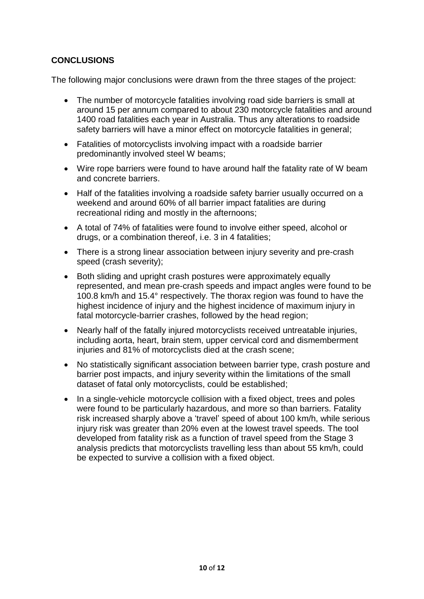## **CONCLUSIONS**

The following major conclusions were drawn from the three stages of the project:

- The number of motorcycle fatalities involving road side barriers is small at around 15 per annum compared to about 230 motorcycle fatalities and around 1400 road fatalities each year in Australia. Thus any alterations to roadside safety barriers will have a minor effect on motorcycle fatalities in general;
- Fatalities of motorcyclists involving impact with a roadside barrier predominantly involved steel W beams;
- Wire rope barriers were found to have around half the fatality rate of W beam and concrete barriers.
- Half of the fatalities involving a roadside safety barrier usually occurred on a weekend and around 60% of all barrier impact fatalities are during recreational riding and mostly in the afternoons;
- A total of 74% of fatalities were found to involve either speed, alcohol or drugs, or a combination thereof, i.e. 3 in 4 fatalities;
- There is a strong linear association between injury severity and pre-crash speed (crash severity);
- Both sliding and upright crash postures were approximately equally represented, and mean pre-crash speeds and impact angles were found to be 100.8 km/h and 15.4° respectively. The thorax region was found to have the highest incidence of injury and the highest incidence of maximum injury in fatal motorcycle-barrier crashes, followed by the head region;
- Nearly half of the fatally injured motorcyclists received untreatable injuries, including aorta, heart, brain stem, upper cervical cord and dismemberment injuries and 81% of motorcyclists died at the crash scene;
- No statistically significant association between barrier type, crash posture and barrier post impacts, and injury severity within the limitations of the small dataset of fatal only motorcyclists, could be established;
- In a single-vehicle motorcycle collision with a fixed object, trees and poles were found to be particularly hazardous, and more so than barriers. Fatality risk increased sharply above a "travel" speed of about 100 km/h, while serious injury risk was greater than 20% even at the lowest travel speeds. The tool developed from fatality risk as a function of travel speed from the Stage 3 analysis predicts that motorcyclists travelling less than about 55 km/h, could be expected to survive a collision with a fixed object.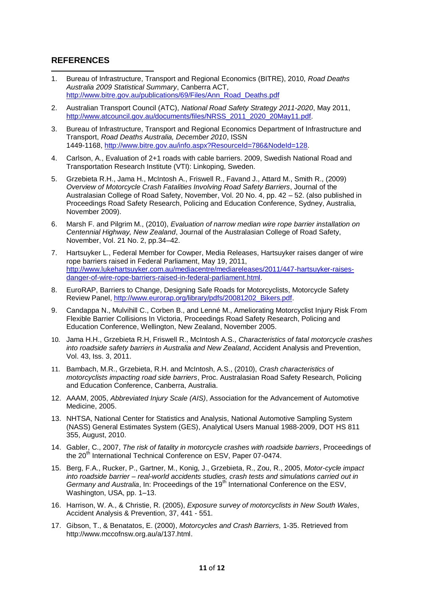### **REFERENCES**

- 1 1. Bureau of Infrastructure, Transport and Regional Economics (BITRE), 2010, *Road Deaths Australia 2009 Statistical Summary*, Canberra ACT, [http://www.bitre.gov.au/publications/69/Files/Ann\\_Road\\_Deaths.pdf](http://www.bitre.gov.au/publications/69/Files/Ann_Road_Deaths.pdf)
- 2. Australian Transport Council (ATC), *National Road Safety Strategy 2011-2020*, May 2011, [http://www.atcouncil.gov.au/documents/files/NRSS\\_2011\\_2020\\_20May11.pdf](http://www.atcouncil.gov.au/documents/files/NRSS_2011_2020_20May11.pdf).
- 3. Bureau of Infrastructure, Transport and Regional Economics Department of Infrastructure and Transport, *Road Deaths Australia, December 2010*, ISSN 1449-1168[, http://www.bitre.gov.au/info.aspx?ResourceId=786&NodeId=128](http://www.bitre.gov.au/info.aspx?ResourceId=786&NodeId=128).
- 4. Carlson, A., Evaluation of 2+1 roads with cable barriers. 2009, Swedish National Road and Transportation Research Institute (VTI): Linkoping, Sweden.
- 5. Grzebieta R.H., Jama H., McIntosh A., Friswell R., Favand J., Attard M., Smith R., (2009) *Overview of Motorcycle Crash Fatalities Involving Road Safety Barriers*, Journal of the Australasian College of Road Safety, November, Vol. 20 No. 4, pp. 42 – 52. (also published in Proceedings Road Safety Research, Policing and Education Conference, Sydney, Australia, November 2009).
- 6. Marsh F. and Pilgrim M., (2010), *Evaluation of narrow median wire rope barrier installation on Centennial Highway, New Zealand*, Journal of the Australasian College of Road Safety, November, Vol. 21 No. 2, pp.34–42.
- 7. Hartsuyker L., Federal Member for Cowper, Media Releases, [Hartsuyker raises danger of wire](http://www.lukehartsuyker.com.au/mediacentre/mediareleases/2011/447-hartsuyker-raises-danger-of-wire-rope-barriers-raised-in-federal-parliament.html)  [rope barriers raised in Federal Parliament,](http://www.lukehartsuyker.com.au/mediacentre/mediareleases/2011/447-hartsuyker-raises-danger-of-wire-rope-barriers-raised-in-federal-parliament.html) May 19, 2011, [http://www.lukehartsuyker.com.au/mediacentre/mediareleases/2011/447-hartsuyker-raises](http://www.lukehartsuyker.com.au/mediacentre/mediareleases/2011/447-hartsuyker-raises-danger-of-wire-rope-barriers-raised-in-federal-parliament.html)[danger-of-wire-rope-barriers-raised-in-federal-parliament.html.](http://www.lukehartsuyker.com.au/mediacentre/mediareleases/2011/447-hartsuyker-raises-danger-of-wire-rope-barriers-raised-in-federal-parliament.html)
- 8. EuroRAP, Barriers to Change, Designing Safe Roads for Motorcyclists, Motorcycle Safety Review Panel, [http://www.eurorap.org/library/pdfs/20081202\\_Bikers.pdf.](http://www.eurorap.org/library/pdfs/20081202_Bikers.pdf)
- 9. Candappa N., Mulvihill C., Corben B., and Lenné M., Ameliorating Motorcyclist Injury Risk From Flexible Barrier Collisions In Victoria, Proceedings Road Safety Research, Policing and Education Conference, Wellington, New Zealand, November 2005.
- 10. Jama H.H., Grzebieta R.H, Friswell R., McIntosh A.S., *Characteristics of fatal motorcycle crashes into roadside safety barriers in Australia and New Zealand*, Accident Analysis and Prevention, Vol. 43, Iss. 3, 2011.
- 11. Bambach, M.R., Grzebieta, R.H. and McIntosh, A.S., (2010), *Crash characteristics of motorcyclists impacting road side barriers*, Proc. Australasian Road Safety Research, Policing and Education Conference, Canberra, Australia.
- 12. AAAM, 2005, *Abbreviated Injury Scale (AIS)*, Association for the Advancement of Automotive Medicine, 2005.
- 13. NHTSA, National Center for Statistics and Analysis, National Automotive Sampling System (NASS) General Estimates System (GES), Analytical Users Manual 1988-2009, DOT HS 811 355, August, 2010.
- 14. Gabler, C., 2007, *The risk of fatality in motorcycle crashes with roadside barriers*, Proceedings of the 20<sup>th</sup> International Technical Conference on ESV, Paper 07-0474.
- 15. Berg, F.A., Rucker, P., Gartner, M., Konig, J., Grzebieta, R., Zou, R., 2005, *Motor-cycle impact into roadside barrier – real-world accidents studies, crash tests and simulations carried out in Germany and Australia*, In: Proceedings of the 19<sup>th</sup> International Conference on the ESV, Washington, USA, pp. 1–13.
- 16. Harrison, W. A., & Christie, R. (2005), *Exposure survey of motorcyclists in New South Wales*, Accident Analysis & Prevention, 37, 441 - 551.
- 17. Gibson, T., & Benatatos, E. (2000), *Motorcycles and Crash Barriers,* 1-35. Retrieved from [http://www.mccofnsw.org.au/a/137.html.](http://www.mccofnsw.org.au/a/137.html)